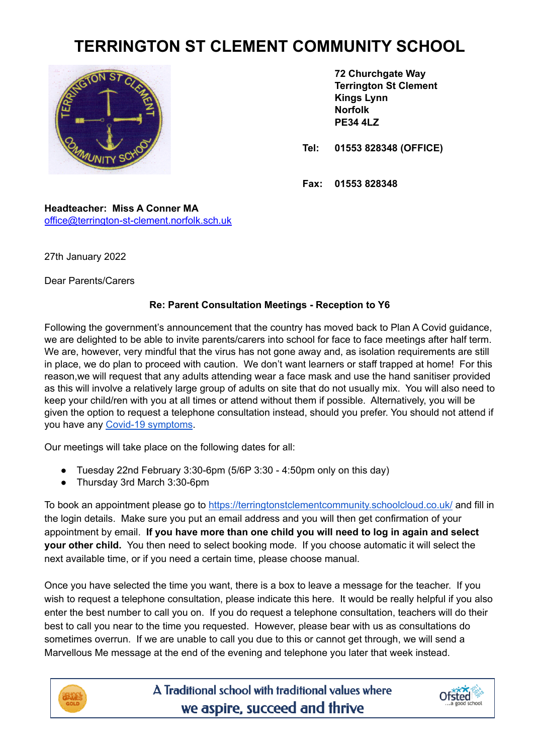## **TERRINGTON ST CLEMENT COMMUNITY SCHOOL**



**72 Churchgate Way Terrington St Clement Kings Lynn Norfolk PE34 4LZ**

**Tel: 01553 828348 (OFFICE)**

**Fax: 01553 828348**

**Headteacher: Miss A Conner MA** [office@terrington-st-clement.norfolk.sch.uk](mailto:office@terrington-st-clement.norfolk.sch.uk)

27th January 2022

Dear Parents/Carers

## **Re: Parent Consultation Meetings - Reception to Y6**

Following the government's announcement that the country has moved back to Plan A Covid guidance, we are delighted to be able to invite parents/carers into school for face to face meetings after half term. We are, however, very mindful that the virus has not gone away and, as isolation requirements are still in place, we do plan to proceed with caution. We don't want learners or staff trapped at home! For this reason,we will request that any adults attending wear a face mask and use the hand sanitiser provided as this will involve a relatively large group of adults on site that do not usually mix. You will also need to keep your child/ren with you at all times or attend without them if possible. Alternatively, you will be given the option to request a telephone consultation instead, should you prefer. You should not attend if you have any Covid-19 [symptoms](https://www.nhs.uk/conditions/coronavirus-covid-19/symptoms/main-symptoms/).

Our meetings will take place on the following dates for all:

- Tuesday 22nd February 3:30-6pm  $(5/6P 3:30 4:50p)$  only on this day)
- Thursday 3rd March 3:30-6pm

To book an appointment please go to <https://terringtonstclementcommunity.schoolcloud.co.uk/> and fill in the login details. Make sure you put an email address and you will then get confirmation of your appointment by email. **If you have more than one child you will need to log in again and select your other child.** You then need to select booking mode. If you choose automatic it will select the next available time, or if you need a certain time, please choose manual.

Once you have selected the time you want, there is a box to leave a message for the teacher. If you wish to request a telephone consultation, please indicate this here. It would be really helpful if you also enter the best number to call you on. If you do request a telephone consultation, teachers will do their best to call you near to the time you requested. However, please bear with us as consultations do sometimes overrun. If we are unable to call you due to this or cannot get through, we will send a Marvellous Me message at the end of the evening and telephone you later that week instead.



A Traditional school with traditional values where we aspire, succeed and thrive